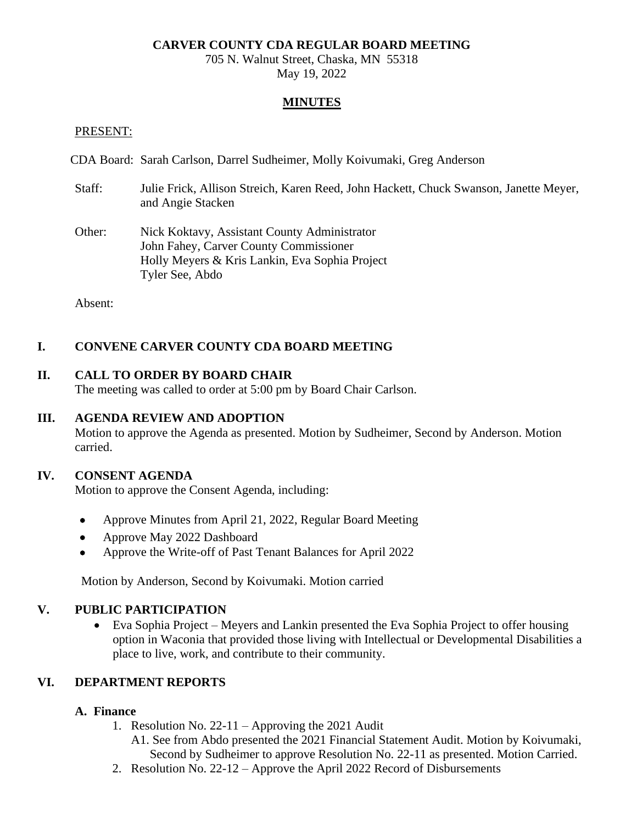### **CARVER COUNTY CDA REGULAR BOARD MEETING**

705 N. Walnut Street, Chaska, MN 55318 May 19, 2022

### **MINUTES**

#### PRESENT:

CDA Board: Sarah Carlson, Darrel Sudheimer, Molly Koivumaki, Greg Anderson

- Staff: Julie Frick, Allison Streich, Karen Reed, John Hackett, Chuck Swanson, Janette Meyer, and Angie Stacken
- Other: Nick Koktavy, Assistant County Administrator John Fahey, Carver County Commissioner Holly Meyers & Kris Lankin, Eva Sophia Project Tyler See, Abdo

Absent:

### **I. CONVENE CARVER COUNTY CDA BOARD MEETING**

### **II. CALL TO ORDER BY BOARD CHAIR**

The meeting was called to order at 5:00 pm by Board Chair Carlson.

#### **III. AGENDA REVIEW AND ADOPTION**

Motion to approve the Agenda as presented. Motion by Sudheimer, Second by Anderson. Motion carried.

#### **IV. CONSENT AGENDA**

Motion to approve the Consent Agenda, including:

- Approve Minutes from April 21, 2022, Regular Board Meeting
- Approve May 2022 Dashboard
- Approve the Write-off of Past Tenant Balances for April 2022

Motion by Anderson, Second by Koivumaki. Motion carried

#### **V. PUBLIC PARTICIPATION**

• Eva Sophia Project – Meyers and Lankin presented the Eva Sophia Project to offer housing option in Waconia that provided those living with Intellectual or Developmental Disabilities a place to live, work, and contribute to their community.

### **VI. DEPARTMENT REPORTS**

### **A. Finance**

- 1. Resolution No. 22-11 Approving the 2021 Audit
	- A1. See from Abdo presented the 2021 Financial Statement Audit. Motion by Koivumaki, Second by Sudheimer to approve Resolution No. 22-11 as presented. Motion Carried.
- 2. Resolution No. 22-12 Approve the April 2022 Record of Disbursements